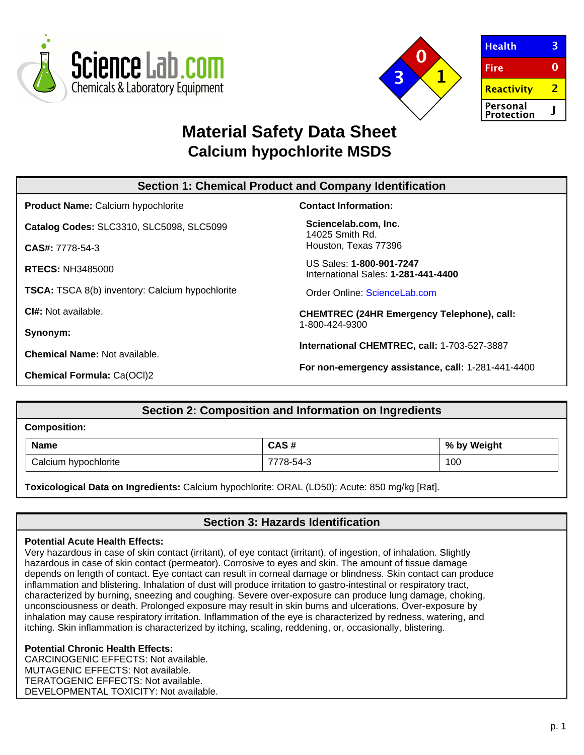



| <b>Health</b>          | 3 |
|------------------------|---|
| <b>Fire</b>            | 0 |
| <b>Reactivity</b>      | 2 |
| Personal<br>Protection |   |

# **Material Safety Data Sheet Calcium hypochlorite MSDS**

| <b>Section 1: Chemical Product and Company Identification</b> |                                                                     |  |
|---------------------------------------------------------------|---------------------------------------------------------------------|--|
| <b>Product Name: Calcium hypochlorite</b>                     | <b>Contact Information:</b>                                         |  |
| Catalog Codes: SLC3310, SLC5098, SLC5099                      | Sciencelab.com, Inc.<br>14025 Smith Rd.                             |  |
| <b>CAS#: 7778-54-3</b>                                        | Houston, Texas 77396                                                |  |
| <b>RTECS: NH3485000</b>                                       | US Sales: 1-800-901-7247<br>International Sales: 1-281-441-4400     |  |
| TSCA: TSCA 8(b) inventory: Calcium hypochlorite               | Order Online: ScienceLab.com                                        |  |
| <b>CI#:</b> Not available.                                    | <b>CHEMTREC (24HR Emergency Telephone), call:</b><br>1-800-424-9300 |  |
| Synonym:                                                      |                                                                     |  |
| <b>Chemical Name: Not available.</b>                          | International CHEMTREC, call: 1-703-527-3887                        |  |
| <b>Chemical Formula: Ca(OCI)2</b>                             | For non-emergency assistance, call: 1-281-441-4400                  |  |

# **Section 2: Composition and Information on Ingredients**

| <b>Composition:</b>  |           |             |  |
|----------------------|-----------|-------------|--|
| <b>Name</b>          | CAS#      | % by Weight |  |
| Calcium hypochlorite | 7778-54-3 | 100         |  |

**Toxicological Data on Ingredients:** Calcium hypochlorite: ORAL (LD50): Acute: 850 mg/kg [Rat].

# **Section 3: Hazards Identification**

#### **Potential Acute Health Effects:**

Very hazardous in case of skin contact (irritant), of eye contact (irritant), of ingestion, of inhalation. Slightly hazardous in case of skin contact (permeator). Corrosive to eyes and skin. The amount of tissue damage depends on length of contact. Eye contact can result in corneal damage or blindness. Skin contact can produce inflammation and blistering. Inhalation of dust will produce irritation to gastro-intestinal or respiratory tract, characterized by burning, sneezing and coughing. Severe over-exposure can produce lung damage, choking, unconsciousness or death. Prolonged exposure may result in skin burns and ulcerations. Over-exposure by inhalation may cause respiratory irritation. Inflammation of the eye is characterized by redness, watering, and itching. Skin inflammation is characterized by itching, scaling, reddening, or, occasionally, blistering.

### **Potential Chronic Health Effects:**

CARCINOGENIC EFFECTS: Not available. MUTAGENIC EFFECTS: Not available. TERATOGENIC EFFECTS: Not available. DEVELOPMENTAL TOXICITY: Not available.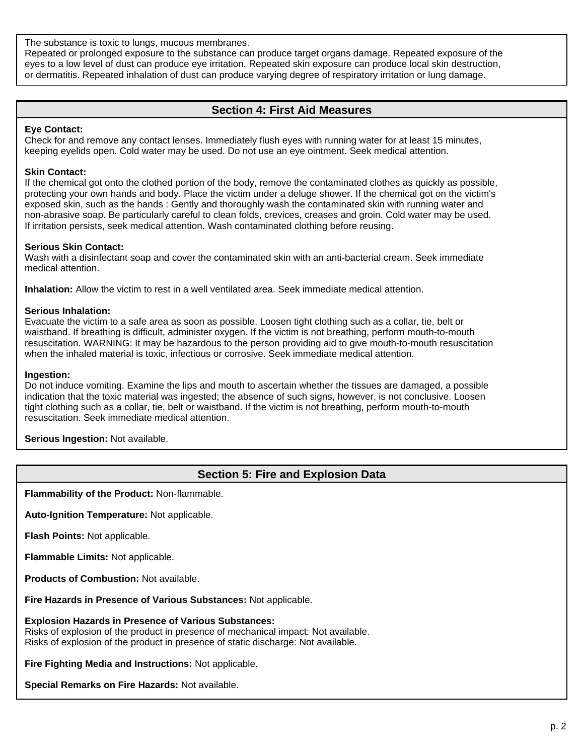The substance is toxic to lungs, mucous membranes.

Repeated or prolonged exposure to the substance can produce target organs damage. Repeated exposure of the eyes to a low level of dust can produce eye irritation. Repeated skin exposure can produce local skin destruction, or dermatitis. Repeated inhalation of dust can produce varying degree of respiratory irritation or lung damage.

# **Section 4: First Aid Measures**

### **Eye Contact:**

Check for and remove any contact lenses. Immediately flush eyes with running water for at least 15 minutes, keeping eyelids open. Cold water may be used. Do not use an eye ointment. Seek medical attention.

### **Skin Contact:**

If the chemical got onto the clothed portion of the body, remove the contaminated clothes as quickly as possible, protecting your own hands and body. Place the victim under a deluge shower. If the chemical got on the victim's exposed skin, such as the hands : Gently and thoroughly wash the contaminated skin with running water and non-abrasive soap. Be particularly careful to clean folds, crevices, creases and groin. Cold water may be used. If irritation persists, seek medical attention. Wash contaminated clothing before reusing.

### **Serious Skin Contact:**

Wash with a disinfectant soap and cover the contaminated skin with an anti-bacterial cream. Seek immediate medical attention.

**Inhalation:** Allow the victim to rest in a well ventilated area. Seek immediate medical attention.

#### **Serious Inhalation:**

Evacuate the victim to a safe area as soon as possible. Loosen tight clothing such as a collar, tie, belt or waistband. If breathing is difficult, administer oxygen. If the victim is not breathing, perform mouth-to-mouth resuscitation. WARNING: It may be hazardous to the person providing aid to give mouth-to-mouth resuscitation when the inhaled material is toxic, infectious or corrosive. Seek immediate medical attention.

#### **Ingestion:**

Do not induce vomiting. Examine the lips and mouth to ascertain whether the tissues are damaged, a possible indication that the toxic material was ingested; the absence of such signs, however, is not conclusive. Loosen tight clothing such as a collar, tie, belt or waistband. If the victim is not breathing, perform mouth-to-mouth resuscitation. Seek immediate medical attention.

### **Serious Ingestion:** Not available.

# **Section 5: Fire and Explosion Data**

**Flammability of the Product:** Non-flammable.

**Auto-Ignition Temperature:** Not applicable.

**Flash Points:** Not applicable.

**Flammable Limits:** Not applicable.

**Products of Combustion:** Not available.

**Fire Hazards in Presence of Various Substances:** Not applicable.

**Explosion Hazards in Presence of Various Substances:** Risks of explosion of the product in presence of mechanical impact: Not available. Risks of explosion of the product in presence of static discharge: Not available.

**Fire Fighting Media and Instructions:** Not applicable.

**Special Remarks on Fire Hazards:** Not available.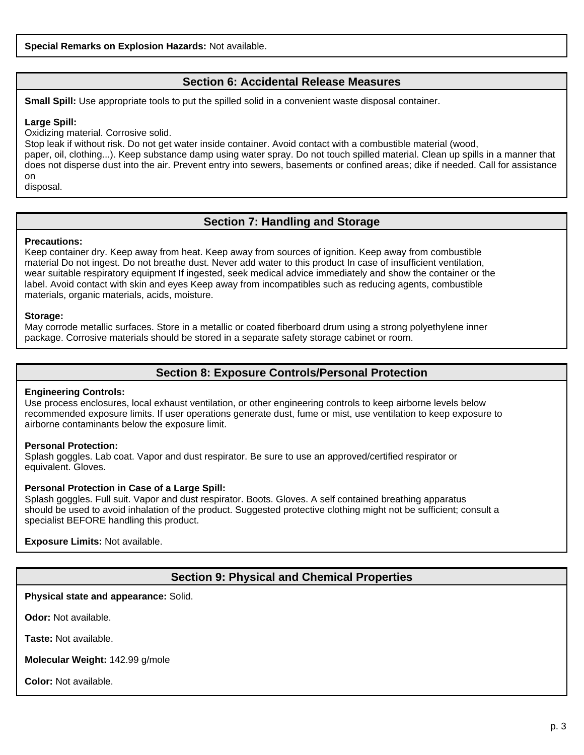# **Section 6: Accidental Release Measures**

**Small Spill:** Use appropriate tools to put the spilled solid in a convenient waste disposal container.

#### **Large Spill:**

Oxidizing material. Corrosive solid.

Stop leak if without risk. Do not get water inside container. Avoid contact with a combustible material (wood, paper, oil, clothing...). Keep substance damp using water spray. Do not touch spilled material. Clean up spills in a manner that does not disperse dust into the air. Prevent entry into sewers, basements or confined areas; dike if needed. Call for assistance on

disposal.

# **Section 7: Handling and Storage**

#### **Precautions:**

Keep container dry. Keep away from heat. Keep away from sources of ignition. Keep away from combustible material Do not ingest. Do not breathe dust. Never add water to this product In case of insufficient ventilation, wear suitable respiratory equipment If ingested, seek medical advice immediately and show the container or the label. Avoid contact with skin and eyes Keep away from incompatibles such as reducing agents, combustible materials, organic materials, acids, moisture.

#### **Storage:**

May corrode metallic surfaces. Store in a metallic or coated fiberboard drum using a strong polyethylene inner package. Corrosive materials should be stored in a separate safety storage cabinet or room.

### **Section 8: Exposure Controls/Personal Protection**

#### **Engineering Controls:**

Use process enclosures, local exhaust ventilation, or other engineering controls to keep airborne levels below recommended exposure limits. If user operations generate dust, fume or mist, use ventilation to keep exposure to airborne contaminants below the exposure limit.

#### **Personal Protection:**

Splash goggles. Lab coat. Vapor and dust respirator. Be sure to use an approved/certified respirator or equivalent. Gloves.

#### **Personal Protection in Case of a Large Spill:**

Splash goggles. Full suit. Vapor and dust respirator. Boots. Gloves. A self contained breathing apparatus should be used to avoid inhalation of the product. Suggested protective clothing might not be sufficient; consult a specialist BEFORE handling this product.

**Exposure Limits:** Not available.

### **Section 9: Physical and Chemical Properties**

**Physical state and appearance:** Solid.

**Odor:** Not available.

**Taste:** Not available.

**Molecular Weight:** 142.99 g/mole

**Color:** Not available.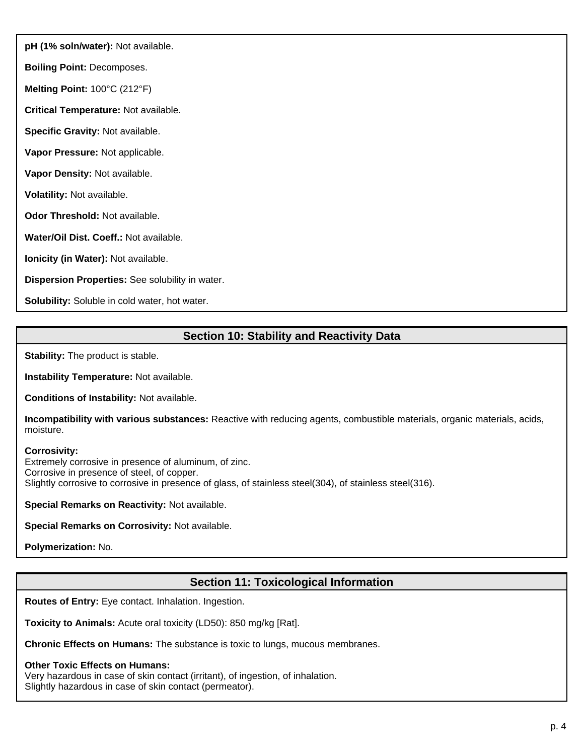**pH (1% soln/water):** Not available.

**Boiling Point:** Decomposes.

**Melting Point:** 100°C (212°F)

**Critical Temperature:** Not available.

**Specific Gravity:** Not available.

**Vapor Pressure:** Not applicable.

**Vapor Density:** Not available.

**Volatility:** Not available.

**Odor Threshold:** Not available.

**Water/Oil Dist. Coeff.:** Not available.

**Ionicity (in Water):** Not available.

**Dispersion Properties:** See solubility in water.

**Solubility:** Soluble in cold water, hot water.

# **Section 10: Stability and Reactivity Data**

**Stability:** The product is stable.

**Instability Temperature:** Not available.

**Conditions of Instability:** Not available.

**Incompatibility with various substances:** Reactive with reducing agents, combustible materials, organic materials, acids, moisture.

#### **Corrosivity:**

Extremely corrosive in presence of aluminum, of zinc. Corrosive in presence of steel, of copper. Slightly corrosive to corrosive in presence of glass, of stainless steel(304), of stainless steel(316).

**Special Remarks on Reactivity:** Not available.

**Special Remarks on Corrosivity:** Not available.

**Polymerization:** No.

### **Section 11: Toxicological Information**

**Routes of Entry:** Eye contact. Inhalation. Ingestion.

**Toxicity to Animals:** Acute oral toxicity (LD50): 850 mg/kg [Rat].

**Chronic Effects on Humans:** The substance is toxic to lungs, mucous membranes.

#### **Other Toxic Effects on Humans:**

Very hazardous in case of skin contact (irritant), of ingestion, of inhalation. Slightly hazardous in case of skin contact (permeator).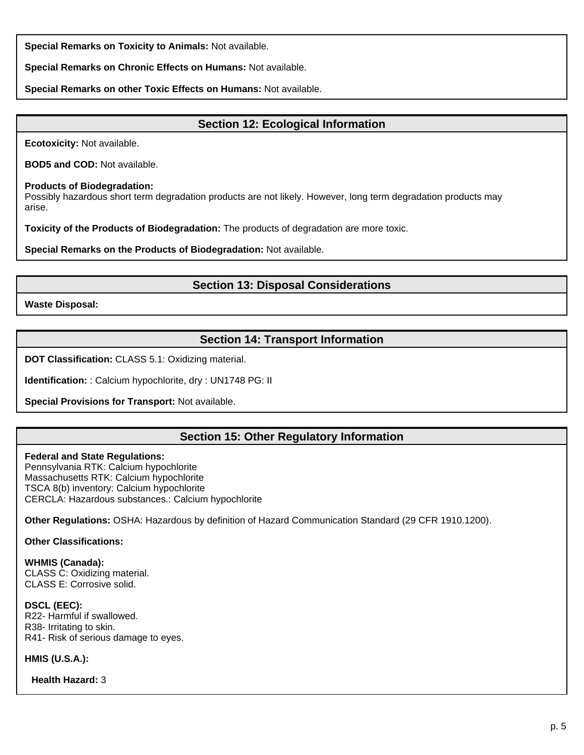**Special Remarks on Toxicity to Animals:** Not available.

**Special Remarks on Chronic Effects on Humans:** Not available.

**Special Remarks on other Toxic Effects on Humans:** Not available.

### **Section 12: Ecological Information**

**Ecotoxicity:** Not available.

**BOD5 and COD:** Not available.

#### **Products of Biodegradation:**

Possibly hazardous short term degradation products are not likely. However, long term degradation products may arise.

**Toxicity of the Products of Biodegradation:** The products of degradation are more toxic.

**Special Remarks on the Products of Biodegradation:** Not available.

# **Section 13: Disposal Considerations**

**Waste Disposal:**

# **Section 14: Transport Information**

**DOT Classification:** CLASS 5.1: Oxidizing material.

**Identification:** : Calcium hypochlorite, dry : UN1748 PG: II

**Special Provisions for Transport:** Not available.

### **Section 15: Other Regulatory Information**

#### **Federal and State Regulations:**

Pennsylvania RTK: Calcium hypochlorite Massachusetts RTK: Calcium hypochlorite TSCA 8(b) inventory: Calcium hypochlorite CERCLA: Hazardous substances.: Calcium hypochlorite

**Other Regulations:** OSHA: Hazardous by definition of Hazard Communication Standard (29 CFR 1910.1200).

**Other Classifications:**

**WHMIS (Canada):** CLASS C: Oxidizing material. CLASS E: Corrosive solid.

**DSCL (EEC):** R22- Harmful if swallowed. R38- Irritating to skin. R41- Risk of serious damage to eyes.

**HMIS (U.S.A.):**

**Health Hazard:** 3